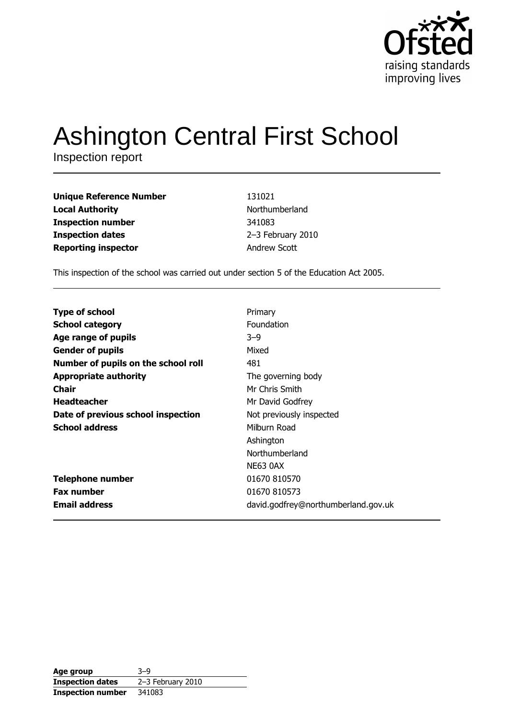

# **Ashington Central First School**

Inspection report

**Unique Reference Number Local Authority Inspection number Inspection dates Reporting inspector** 

131021 Northumberland 341083 2-3 February 2010 Andrew Scott

This inspection of the school was carried out under section 5 of the Education Act 2005.

| <b>Type of school</b>               | Primary                             |
|-------------------------------------|-------------------------------------|
| <b>School category</b>              | Foundation                          |
| Age range of pupils                 | $3 - 9$                             |
| <b>Gender of pupils</b>             | Mixed                               |
| Number of pupils on the school roll | 481                                 |
| <b>Appropriate authority</b>        | The governing body                  |
| <b>Chair</b>                        | Mr Chris Smith                      |
| <b>Headteacher</b>                  | Mr David Godfrey                    |
| Date of previous school inspection  | Not previously inspected            |
| <b>School address</b>               | Milburn Road                        |
|                                     | Ashington                           |
|                                     | Northumberland                      |
|                                     | <b>NE63 0AX</b>                     |
| <b>Telephone number</b>             | 01670 810570                        |
| <b>Fax number</b>                   | 01670 810573                        |
| <b>Email address</b>                | david.godfrey@northumberland.gov.uk |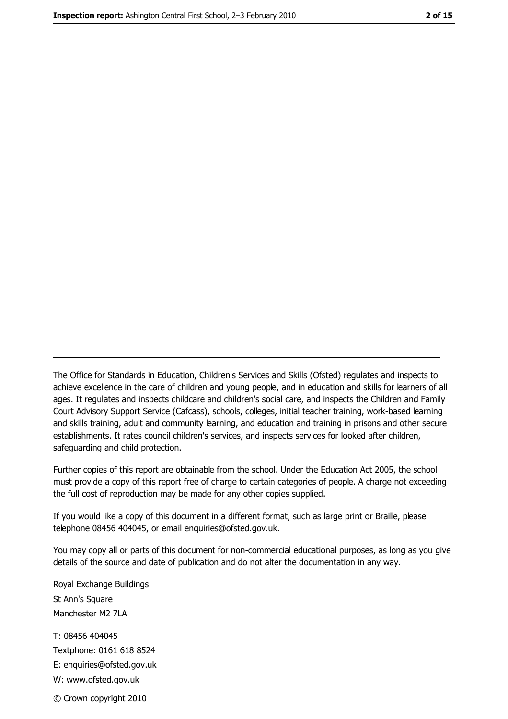The Office for Standards in Education, Children's Services and Skills (Ofsted) regulates and inspects to achieve excellence in the care of children and young people, and in education and skills for learners of all ages. It regulates and inspects childcare and children's social care, and inspects the Children and Family Court Advisory Support Service (Cafcass), schools, colleges, initial teacher training, work-based learning and skills training, adult and community learning, and education and training in prisons and other secure establishments. It rates council children's services, and inspects services for looked after children, safequarding and child protection.

Further copies of this report are obtainable from the school. Under the Education Act 2005, the school must provide a copy of this report free of charge to certain categories of people. A charge not exceeding the full cost of reproduction may be made for any other copies supplied.

If you would like a copy of this document in a different format, such as large print or Braille, please telephone 08456 404045, or email enquiries@ofsted.gov.uk.

You may copy all or parts of this document for non-commercial educational purposes, as long as you give details of the source and date of publication and do not alter the documentation in any way.

Royal Exchange Buildings St Ann's Square Manchester M2 7LA T: 08456 404045 Textphone: 0161 618 8524 E: enquiries@ofsted.gov.uk W: www.ofsted.gov.uk © Crown copyright 2010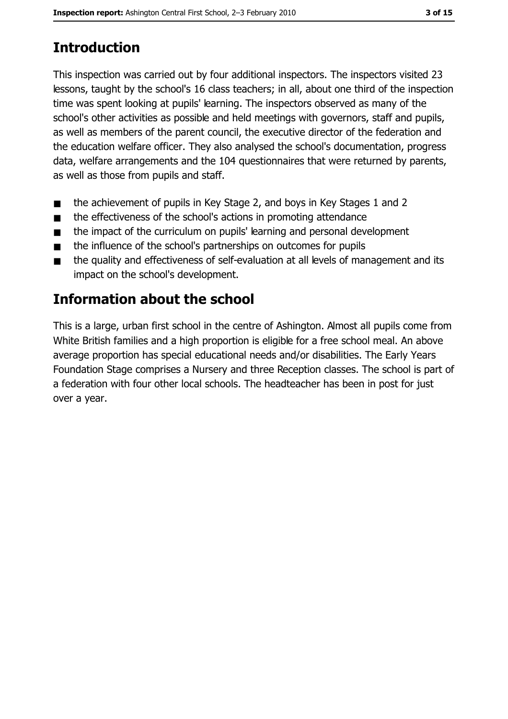# **Introduction**

This inspection was carried out by four additional inspectors. The inspectors visited 23 lessons, taught by the school's 16 class teachers; in all, about one third of the inspection time was spent looking at pupils' learning. The inspectors observed as many of the school's other activities as possible and held meetings with governors, staff and pupils, as well as members of the parent council, the executive director of the federation and the education welfare officer. They also analysed the school's documentation, progress data, welfare arrangements and the 104 questionnaires that were returned by parents, as well as those from pupils and staff.

- the achievement of pupils in Key Stage 2, and boys in Key Stages 1 and 2  $\blacksquare$
- the effectiveness of the school's actions in promoting attendance  $\blacksquare$
- the impact of the curriculum on pupils' learning and personal development  $\blacksquare$
- the influence of the school's partnerships on outcomes for pupils  $\blacksquare$
- the quality and effectiveness of self-evaluation at all levels of management and its impact on the school's development.

# Information about the school

This is a large, urban first school in the centre of Ashington. Almost all pupils come from White British families and a high proportion is eligible for a free school meal. An above average proportion has special educational needs and/or disabilities. The Early Years Foundation Stage comprises a Nursery and three Reception classes. The school is part of a federation with four other local schools. The headteacher has been in post for just over a year.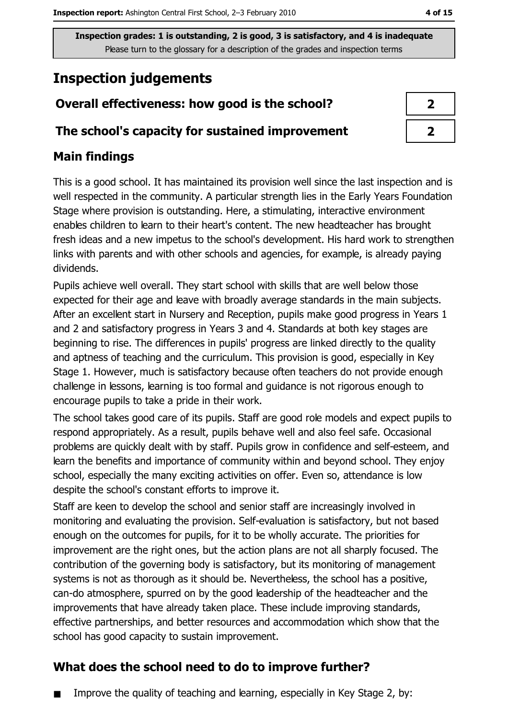# **Inspection judgements**

## Overall effectiveness: how good is the school?

#### The school's capacity for sustained improvement

## **Main findings**

This is a good school. It has maintained its provision well since the last inspection and is well respected in the community. A particular strength lies in the Early Years Foundation Stage where provision is outstanding. Here, a stimulating, interactive environment enables children to learn to their heart's content. The new headteacher has brought fresh ideas and a new impetus to the school's development. His hard work to strengthen links with parents and with other schools and agencies, for example, is already paying dividends.

Pupils achieve well overall. They start school with skills that are well below those expected for their age and leave with broadly average standards in the main subjects. After an excellent start in Nursery and Reception, pupils make good progress in Years 1 and 2 and satisfactory progress in Years 3 and 4. Standards at both key stages are beginning to rise. The differences in pupils' progress are linked directly to the quality and aptness of teaching and the curriculum. This provision is good, especially in Key Stage 1. However, much is satisfactory because often teachers do not provide enough challenge in lessons, learning is too formal and guidance is not rigorous enough to encourage pupils to take a pride in their work.

The school takes good care of its pupils. Staff are good role models and expect pupils to respond appropriately. As a result, pupils behave well and also feel safe. Occasional problems are quickly dealt with by staff. Pupils grow in confidence and self-esteem, and learn the benefits and importance of community within and beyond school. They enjoy school, especially the many exciting activities on offer. Even so, attendance is low despite the school's constant efforts to improve it.

Staff are keen to develop the school and senior staff are increasingly involved in monitoring and evaluating the provision. Self-evaluation is satisfactory, but not based enough on the outcomes for pupils, for it to be wholly accurate. The priorities for improvement are the right ones, but the action plans are not all sharply focused. The contribution of the governing body is satisfactory, but its monitoring of management systems is not as thorough as it should be. Nevertheless, the school has a positive, can-do atmosphere, spurred on by the good leadership of the headteacher and the improvements that have already taken place. These include improving standards, effective partnerships, and better resources and accommodation which show that the school has good capacity to sustain improvement.

## What does the school need to do to improve further?

Improve the quality of teaching and learning, especially in Key Stage 2, by:

| $\boldsymbol{\lambda}$ |  |
|------------------------|--|
| ↗                      |  |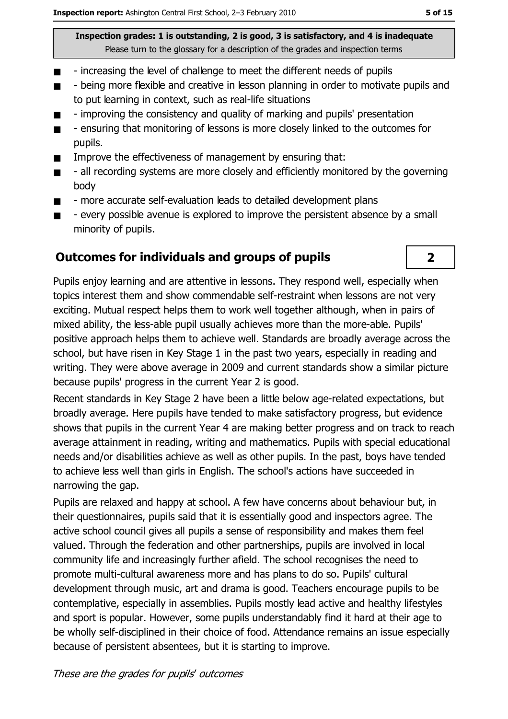- increasing the level of challenge to meet the different needs of pupils  $\blacksquare$
- being more flexible and creative in lesson planning in order to motivate pupils and  $\blacksquare$ to put learning in context, such as real-life situations
- improving the consistency and quality of marking and pupils' presentation п
- ensuring that monitoring of lessons is more closely linked to the outcomes for  $\blacksquare$ pupils.
- Improve the effectiveness of management by ensuring that:  $\blacksquare$
- all recording systems are more closely and efficiently monitored by the governing  $\blacksquare$ body
- more accurate self-evaluation leads to detailed development plans  $\blacksquare$
- every possible avenue is explored to improve the persistent absence by a small  $\blacksquare$ minority of pupils.

#### **Outcomes for individuals and groups of pupils**

Pupils enjoy learning and are attentive in lessons. They respond well, especially when topics interest them and show commendable self-restraint when lessons are not very exciting. Mutual respect helps them to work well together although, when in pairs of mixed ability, the less-able pupil usually achieves more than the more-able. Pupils' positive approach helps them to achieve well. Standards are broadly average across the school, but have risen in Key Stage 1 in the past two years, especially in reading and writing. They were above average in 2009 and current standards show a similar picture because pupils' progress in the current Year 2 is good.

Recent standards in Key Stage 2 have been a little below age-related expectations, but broadly average. Here pupils have tended to make satisfactory progress, but evidence shows that pupils in the current Year 4 are making better progress and on track to reach average attainment in reading, writing and mathematics. Pupils with special educational needs and/or disabilities achieve as well as other pupils. In the past, boys have tended to achieve less well than girls in English. The school's actions have succeeded in narrowing the gap.

Pupils are relaxed and happy at school. A few have concerns about behaviour but, in their questionnaires, pupils said that it is essentially good and inspectors agree. The active school council gives all pupils a sense of responsibility and makes them feel valued. Through the federation and other partnerships, pupils are involved in local community life and increasingly further afield. The school recognises the need to promote multi-cultural awareness more and has plans to do so. Pupils' cultural development through music, art and drama is good. Teachers encourage pupils to be contemplative, especially in assemblies. Pupils mostly lead active and healthy lifestyles and sport is popular. However, some pupils understandably find it hard at their age to be wholly self-disciplined in their choice of food. Attendance remains an issue especially because of persistent absentees, but it is starting to improve.

 $2<sup>1</sup>$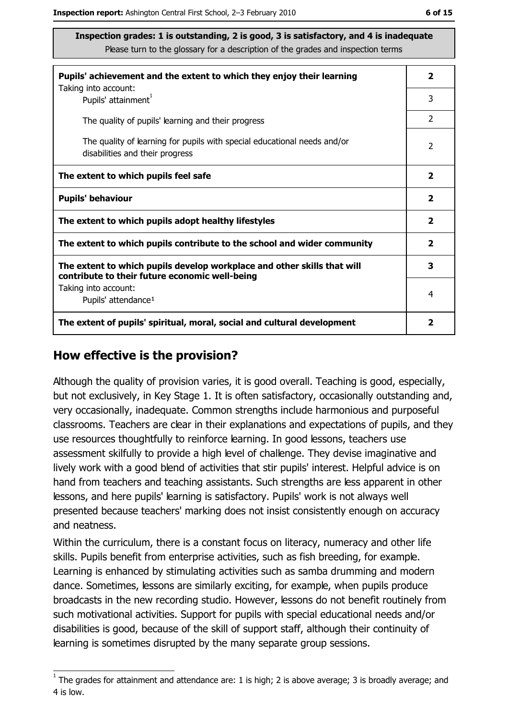| Pupils' achievement and the extent to which they enjoy their learning                                                     |                |
|---------------------------------------------------------------------------------------------------------------------------|----------------|
| Taking into account:<br>Pupils' attainment <sup>1</sup>                                                                   | 3              |
| The quality of pupils' learning and their progress                                                                        | $\overline{2}$ |
| The quality of learning for pupils with special educational needs and/or<br>disabilities and their progress               | $\overline{2}$ |
| The extent to which pupils feel safe                                                                                      |                |
| <b>Pupils' behaviour</b>                                                                                                  |                |
| The extent to which pupils adopt healthy lifestyles                                                                       |                |
| The extent to which pupils contribute to the school and wider community                                                   |                |
| The extent to which pupils develop workplace and other skills that will<br>contribute to their future economic well-being |                |
| Taking into account:<br>Pupils' attendance <sup>1</sup>                                                                   | 4              |
| The extent of pupils' spiritual, moral, social and cultural development                                                   |                |

#### How effective is the provision?

Although the quality of provision varies, it is good overall. Teaching is good, especially, but not exclusively, in Key Stage 1. It is often satisfactory, occasionally outstanding and, very occasionally, inadequate. Common strengths include harmonious and purposeful classrooms. Teachers are clear in their explanations and expectations of pupils, and they use resources thoughtfully to reinforce learning. In good lessons, teachers use assessment skilfully to provide a high level of challenge. They devise imaginative and lively work with a good blend of activities that stir pupils' interest. Helpful advice is on hand from teachers and teaching assistants. Such strengths are less apparent in other lessons, and here pupils' learning is satisfactory. Pupils' work is not always well presented because teachers' marking does not insist consistently enough on accuracy and neatness.

Within the curriculum, there is a constant focus on literacy, numeracy and other life skills. Pupils benefit from enterprise activities, such as fish breeding, for example. Learning is enhanced by stimulating activities such as samba drumming and modern dance. Sometimes, lessons are similarly exciting, for example, when pupils produce broadcasts in the new recording studio. However, lessons do not benefit routinely from such motivational activities. Support for pupils with special educational needs and/or disabilities is good, because of the skill of support staff, although their continuity of learning is sometimes disrupted by the many separate group sessions.

 $1$  The arades for attainment and attendance are: 1 is high; 2 is above average; 3 is broadly average; and 4 is low.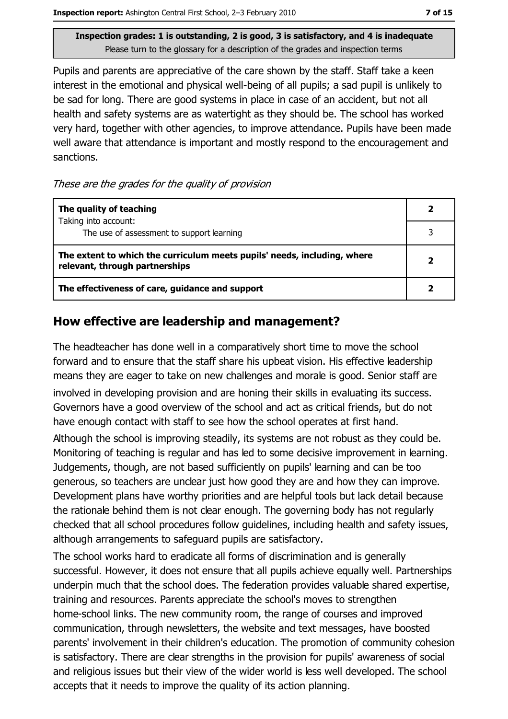Pupils and parents are appreciative of the care shown by the staff. Staff take a keen interest in the emotional and physical well-being of all pupils; a sad pupil is unlikely to be sad for long. There are good systems in place in case of an accident, but not all health and safety systems are as watertight as they should be. The school has worked very hard, together with other agencies, to improve attendance. Pupils have been made well aware that attendance is important and mostly respond to the encouragement and sanctions.

These are the grades for the quality of provision

| The quality of teaching                                                                                    |  |
|------------------------------------------------------------------------------------------------------------|--|
| Taking into account:<br>The use of assessment to support learning                                          |  |
| The extent to which the curriculum meets pupils' needs, including, where<br>relevant, through partnerships |  |
| The effectiveness of care, guidance and support                                                            |  |

#### How effective are leadership and management?

The headteacher has done well in a comparatively short time to move the school forward and to ensure that the staff share his upbeat vision. His effective leadership means they are eager to take on new challenges and morale is good. Senior staff are involved in developing provision and are honing their skills in evaluating its success. Governors have a good overview of the school and act as critical friends, but do not have enough contact with staff to see how the school operates at first hand.

Although the school is improving steadily, its systems are not robust as they could be. Monitoring of teaching is regular and has led to some decisive improvement in learning. Judgements, though, are not based sufficiently on pupils' learning and can be too generous, so teachers are unclear just how good they are and how they can improve. Development plans have worthy priorities and are helpful tools but lack detail because the rationale behind them is not clear enough. The governing body has not regularly checked that all school procedures follow guidelines, including health and safety issues, although arrangements to safeguard pupils are satisfactory.

The school works hard to eradicate all forms of discrimination and is generally successful. However, it does not ensure that all pupils achieve equally well. Partnerships underpin much that the school does. The federation provides valuable shared expertise, training and resources. Parents appreciate the school's moves to strengthen home-school links. The new community room, the range of courses and improved communication, through newsletters, the website and text messages, have boosted parents' involvement in their children's education. The promotion of community cohesion is satisfactory. There are clear strengths in the provision for pupils' awareness of social and religious issues but their view of the wider world is less well developed. The school accepts that it needs to improve the quality of its action planning.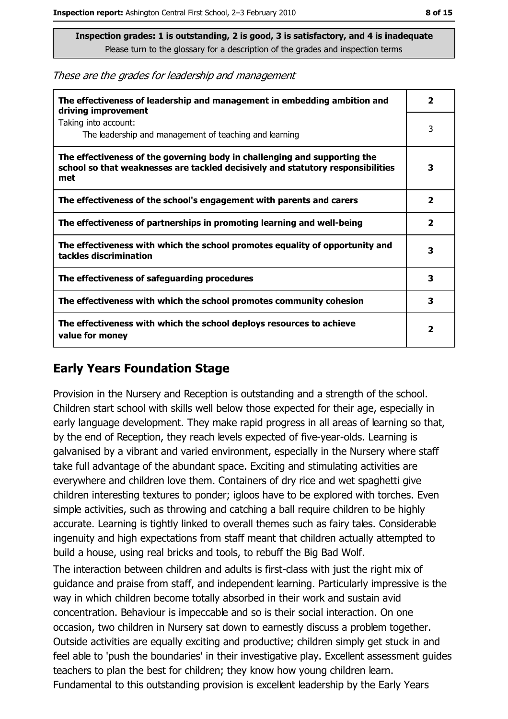These are the grades for leadership and management

| The effectiveness of leadership and management in embedding ambition and<br>driving improvement                                                                     |                         |
|---------------------------------------------------------------------------------------------------------------------------------------------------------------------|-------------------------|
| Taking into account:<br>The leadership and management of teaching and learning                                                                                      | 3                       |
| The effectiveness of the governing body in challenging and supporting the<br>school so that weaknesses are tackled decisively and statutory responsibilities<br>met | з                       |
| The effectiveness of the school's engagement with parents and carers                                                                                                | 2                       |
| The effectiveness of partnerships in promoting learning and well-being                                                                                              | $\overline{\mathbf{2}}$ |
| The effectiveness with which the school promotes equality of opportunity and<br>tackles discrimination                                                              | 3                       |
| The effectiveness of safeguarding procedures                                                                                                                        | 3                       |
| The effectiveness with which the school promotes community cohesion                                                                                                 | 3                       |
| The effectiveness with which the school deploys resources to achieve<br>value for money                                                                             |                         |

#### **Early Years Foundation Stage**

Provision in the Nursery and Reception is outstanding and a strength of the school. Children start school with skills well below those expected for their age, especially in early language development. They make rapid progress in all areas of learning so that, by the end of Reception, they reach levels expected of five-year-olds. Learning is galvanised by a vibrant and varied environment, especially in the Nursery where staff take full advantage of the abundant space. Exciting and stimulating activities are everywhere and children love them. Containers of dry rice and wet spaghetti give children interesting textures to ponder; igloos have to be explored with torches. Even simple activities, such as throwing and catching a ball require children to be highly accurate. Learning is tightly linked to overall themes such as fairy tales. Considerable ingenuity and high expectations from staff meant that children actually attempted to build a house, using real bricks and tools, to rebuff the Big Bad Wolf.

The interaction between children and adults is first-class with just the right mix of quidance and praise from staff, and independent learning. Particularly impressive is the way in which children become totally absorbed in their work and sustain avid concentration. Behaviour is impeccable and so is their social interaction. On one occasion, two children in Nursery sat down to earnestly discuss a problem together. Outside activities are equally exciting and productive; children simply get stuck in and feel able to 'push the boundaries' in their investigative play. Excellent assessment quides teachers to plan the best for children; they know how young children learn. Fundamental to this outstanding provision is excellent leadership by the Early Years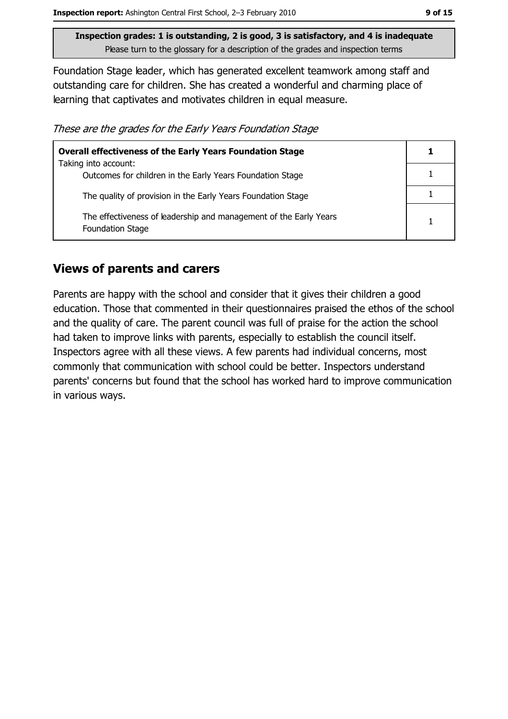Foundation Stage leader, which has generated excellent teamwork among staff and outstanding care for children. She has created a wonderful and charming place of learning that captivates and motivates children in equal measure.

These are the grades for the Early Years Foundation Stage

| <b>Overall effectiveness of the Early Years Foundation Stage</b>                             |  |  |
|----------------------------------------------------------------------------------------------|--|--|
| Taking into account:                                                                         |  |  |
| Outcomes for children in the Early Years Foundation Stage                                    |  |  |
| The quality of provision in the Early Years Foundation Stage                                 |  |  |
|                                                                                              |  |  |
| The effectiveness of leadership and management of the Early Years<br><b>Foundation Stage</b> |  |  |

#### **Views of parents and carers**

Parents are happy with the school and consider that it gives their children a good education. Those that commented in their questionnaires praised the ethos of the school and the quality of care. The parent council was full of praise for the action the school had taken to improve links with parents, especially to establish the council itself. Inspectors agree with all these views. A few parents had individual concerns, most commonly that communication with school could be better. Inspectors understand parents' concerns but found that the school has worked hard to improve communication in various ways.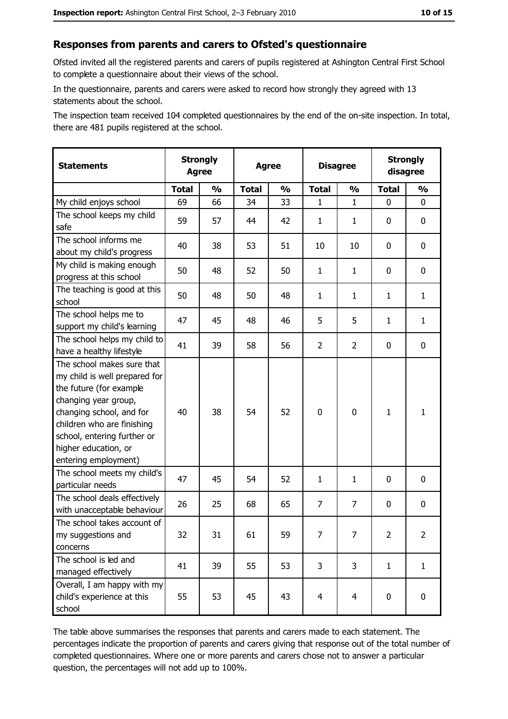## Responses from parents and carers to Ofsted's questionnaire

Ofsted invited all the registered parents and carers of pupils registered at Ashington Central First School to complete a questionnaire about their views of the school.

In the questionnaire, parents and carers were asked to record how strongly they agreed with 13 statements about the school.

The inspection team received 104 completed questionnaires by the end of the on-site inspection. In total, there are 481 pupils registered at the school.

| <b>Statements</b>                                                                                                                                                                                                                                       | <b>Strongly</b><br><b>Agree</b> |               | <b>Agree</b> |               | <b>Disagree</b> |                | <b>Strongly</b><br>disagree |                |
|---------------------------------------------------------------------------------------------------------------------------------------------------------------------------------------------------------------------------------------------------------|---------------------------------|---------------|--------------|---------------|-----------------|----------------|-----------------------------|----------------|
|                                                                                                                                                                                                                                                         | <b>Total</b>                    | $\frac{1}{2}$ | <b>Total</b> | $\frac{0}{0}$ | <b>Total</b>    | $\frac{0}{0}$  | <b>Total</b>                | $\frac{0}{0}$  |
| My child enjoys school                                                                                                                                                                                                                                  | 69                              | 66            | 34           | 33            | 1               | $\mathbf{1}$   | 0                           | $\mathbf 0$    |
| The school keeps my child<br>safe                                                                                                                                                                                                                       | 59                              | 57            | 44           | 42            | 1               | 1              | 0                           | 0              |
| The school informs me<br>about my child's progress                                                                                                                                                                                                      | 40                              | 38            | 53           | 51            | 10              | 10             | 0                           | $\mathbf 0$    |
| My child is making enough<br>progress at this school                                                                                                                                                                                                    | 50                              | 48            | 52           | 50            | $\mathbf{1}$    | 1              | 0                           | 0              |
| The teaching is good at this<br>school                                                                                                                                                                                                                  | 50                              | 48            | 50           | 48            | $\mathbf{1}$    | $\mathbf{1}$   | $\mathbf{1}$                | $\mathbf{1}$   |
| The school helps me to<br>support my child's learning                                                                                                                                                                                                   | 47                              | 45            | 48           | 46            | 5               | 5              | $\mathbf{1}$                | $\mathbf{1}$   |
| The school helps my child to<br>have a healthy lifestyle                                                                                                                                                                                                | 41                              | 39            | 58           | 56            | $\overline{2}$  | $\overline{2}$ | 0                           | $\mathbf 0$    |
| The school makes sure that<br>my child is well prepared for<br>the future (for example<br>changing year group,<br>changing school, and for<br>children who are finishing<br>school, entering further or<br>higher education, or<br>entering employment) | 40                              | 38            | 54           | 52            | $\mathbf 0$     | 0              | $\mathbf{1}$                | 1              |
| The school meets my child's<br>particular needs                                                                                                                                                                                                         | 47                              | 45            | 54           | 52            | $\mathbf{1}$    | $\mathbf{1}$   | 0                           | 0              |
| The school deals effectively<br>with unacceptable behaviour                                                                                                                                                                                             | 26                              | 25            | 68           | 65            | $\overline{7}$  | 7              | 0                           | $\mathbf 0$    |
| The school takes account of<br>my suggestions and<br>concerns                                                                                                                                                                                           | 32                              | 31            | 61           | 59            | 7               | 7              | $\overline{2}$              | $\overline{2}$ |
| The school is led and<br>managed effectively                                                                                                                                                                                                            | 41                              | 39            | 55           | 53            | 3               | 3              | $\mathbf{1}$                | $\mathbf{1}$   |
| Overall, I am happy with my<br>child's experience at this<br>school                                                                                                                                                                                     | 55                              | 53            | 45           | 43            | $\overline{4}$  | $\overline{4}$ | $\mathbf 0$                 | $\mathbf 0$    |

The table above summarises the responses that parents and carers made to each statement. The percentages indicate the proportion of parents and carers giving that response out of the total number of completed questionnaires. Where one or more parents and carers chose not to answer a particular question, the percentages will not add up to 100%.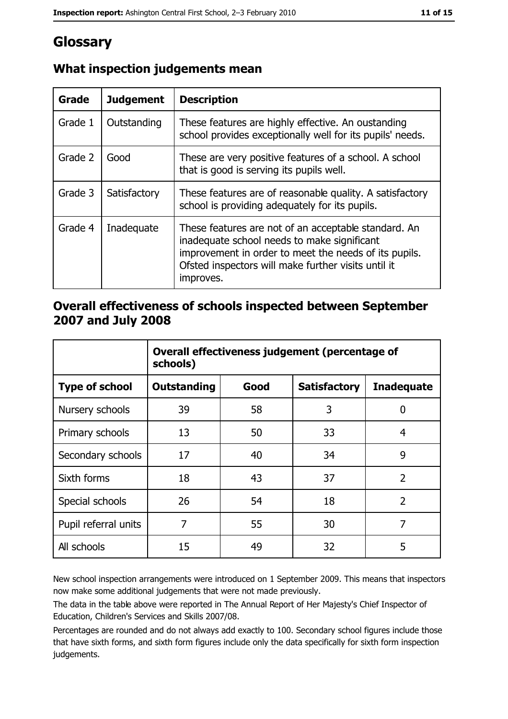# Glossary

| Grade   | <b>Judgement</b> | <b>Description</b>                                                                                                                                                                                                               |  |
|---------|------------------|----------------------------------------------------------------------------------------------------------------------------------------------------------------------------------------------------------------------------------|--|
| Grade 1 | Outstanding      | These features are highly effective. An oustanding<br>school provides exceptionally well for its pupils' needs.                                                                                                                  |  |
| Grade 2 | Good             | These are very positive features of a school. A school<br>that is good is serving its pupils well.                                                                                                                               |  |
| Grade 3 | Satisfactory     | These features are of reasonable quality. A satisfactory<br>school is providing adequately for its pupils.                                                                                                                       |  |
| Grade 4 | Inadequate       | These features are not of an acceptable standard. An<br>inadequate school needs to make significant<br>improvement in order to meet the needs of its pupils.<br>Ofsted inspectors will make further visits until it<br>improves. |  |

## What inspection judgements mean

### Overall effectiveness of schools inspected between September 2007 and July 2008

|                       | Overall effectiveness judgement (percentage of<br>schools) |      |                     |                   |
|-----------------------|------------------------------------------------------------|------|---------------------|-------------------|
| <b>Type of school</b> | Outstanding                                                | Good | <b>Satisfactory</b> | <b>Inadequate</b> |
| Nursery schools       | 39                                                         | 58   | 3                   | 0                 |
| Primary schools       | 13                                                         | 50   | 33                  | 4                 |
| Secondary schools     | 17                                                         | 40   | 34                  | 9                 |
| Sixth forms           | 18                                                         | 43   | 37                  | $\overline{2}$    |
| Special schools       | 26                                                         | 54   | 18                  | $\overline{2}$    |
| Pupil referral units  | 7                                                          | 55   | 30                  | 7                 |
| All schools           | 15                                                         | 49   | 32                  | 5                 |

New school inspection arrangements were introduced on 1 September 2009. This means that inspectors now make some additional judgements that were not made previously.

The data in the table above were reported in The Annual Report of Her Majesty's Chief Inspector of Education, Children's Services and Skills 2007/08.

Percentages are rounded and do not always add exactly to 100. Secondary school figures include those that have sixth forms, and sixth form figures include only the data specifically for sixth form inspection judgements.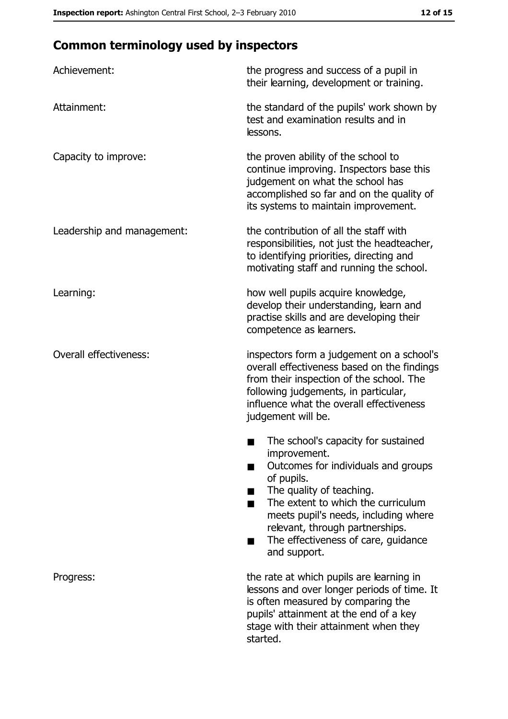# **Common terminology used by inspectors**

| Achievement:                  | the progress and success of a pupil in<br>their learning, development or training.                                                                                                                                                                                                                           |
|-------------------------------|--------------------------------------------------------------------------------------------------------------------------------------------------------------------------------------------------------------------------------------------------------------------------------------------------------------|
| Attainment:                   | the standard of the pupils' work shown by<br>test and examination results and in<br>lessons.                                                                                                                                                                                                                 |
| Capacity to improve:          | the proven ability of the school to<br>continue improving. Inspectors base this<br>judgement on what the school has<br>accomplished so far and on the quality of<br>its systems to maintain improvement.                                                                                                     |
| Leadership and management:    | the contribution of all the staff with<br>responsibilities, not just the headteacher,<br>to identifying priorities, directing and<br>motivating staff and running the school.                                                                                                                                |
| Learning:                     | how well pupils acquire knowledge,<br>develop their understanding, learn and<br>practise skills and are developing their<br>competence as learners.                                                                                                                                                          |
| <b>Overall effectiveness:</b> | inspectors form a judgement on a school's<br>overall effectiveness based on the findings<br>from their inspection of the school. The<br>following judgements, in particular,<br>influence what the overall effectiveness<br>judgement will be.                                                               |
|                               | The school's capacity for sustained<br>improvement.<br>Outcomes for individuals and groups<br>of pupils.<br>The quality of teaching.<br>The extent to which the curriculum<br>meets pupil's needs, including where<br>relevant, through partnerships.<br>The effectiveness of care, guidance<br>and support. |
| Progress:                     | the rate at which pupils are learning in<br>lessons and over longer periods of time. It<br>is often measured by comparing the<br>pupils' attainment at the end of a key<br>stage with their attainment when they<br>started.                                                                                 |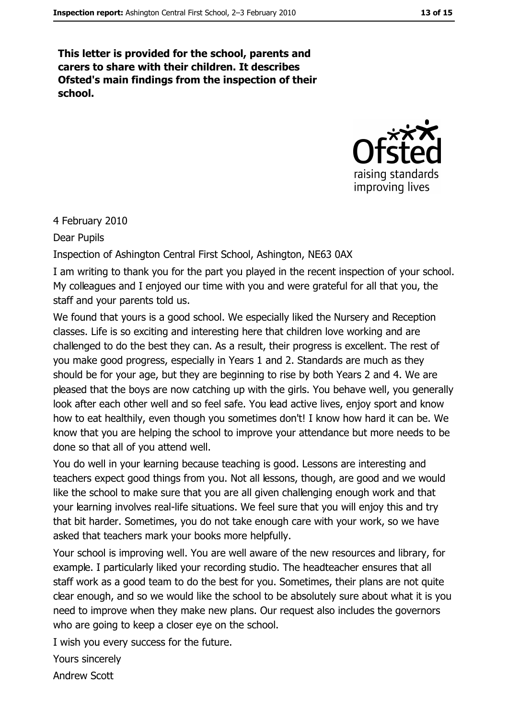This letter is provided for the school, parents and carers to share with their children. It describes Ofsted's main findings from the inspection of their school.



4 February 2010

Dear Pupils

Inspection of Ashington Central First School, Ashington, NE63 0AX

I am writing to thank you for the part you played in the recent inspection of your school. My colleagues and I enjoyed our time with you and were grateful for all that you, the staff and your parents told us.

We found that yours is a good school. We especially liked the Nursery and Reception classes. Life is so exciting and interesting here that children love working and are challenged to do the best they can. As a result, their progress is excellent. The rest of you make good progress, especially in Years 1 and 2. Standards are much as they should be for your age, but they are beginning to rise by both Years 2 and 4. We are pleased that the boys are now catching up with the girls. You behave well, you generally look after each other well and so feel safe. You lead active lives, enjoy sport and know how to eat healthily, even though you sometimes don't! I know how hard it can be. We know that you are helping the school to improve your attendance but more needs to be done so that all of you attend well.

You do well in your learning because teaching is good. Lessons are interesting and teachers expect good things from you. Not all lessons, though, are good and we would like the school to make sure that you are all given challenging enough work and that your learning involves real-life situations. We feel sure that you will enjoy this and try that bit harder. Sometimes, you do not take enough care with your work, so we have asked that teachers mark your books more helpfully.

Your school is improving well. You are well aware of the new resources and library, for example. I particularly liked your recording studio. The headteacher ensures that all staff work as a good team to do the best for you. Sometimes, their plans are not quite clear enough, and so we would like the school to be absolutely sure about what it is you need to improve when they make new plans. Our request also includes the governors who are going to keep a closer eye on the school.

I wish you every success for the future.

Yours sincerely **Andrew Scott**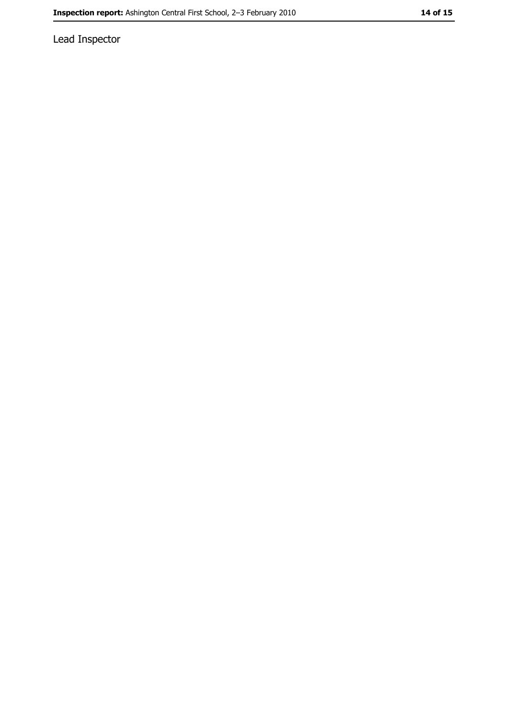Lead Inspector